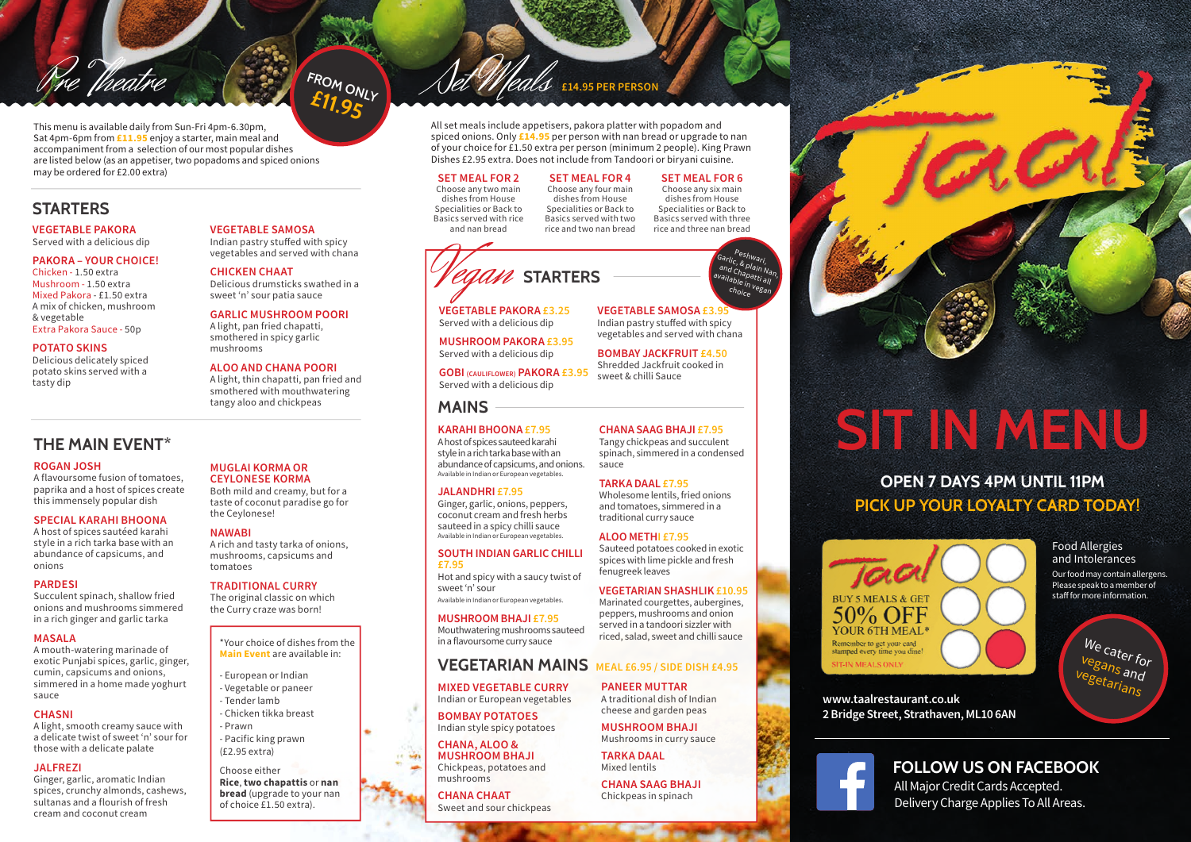

### **VEGETABLE PAKORA** Served with a delicious dip

**PAKORA – YOUR CHOICE!**

Pre Theatre

Chicken - 1.50 extra Mushroom - 1.50 extra Mixed Pakora - £1.50 extra A mix of chicken, mushroom & vegetable Extra Pakora Sauce - 50p

### **POTATO SKINS**

Delicious delicately spiced potato skins served with a tasty dip

## **THE MAIN EVENT\***

### **ROGAN JOSH**

A flavoursome fusion of tomatoes, paprika and a host of spices create this immensely popular dish

### **SPECIAL KARAHI BHOONA**

A host of spices sautéed karahi style in a rich tarka base with an abundance of capsicums, and onions

### **PARDESI**

Succulent spinach, shallow fried onions and mushrooms simmered in a rich ginger and garlic tarka

### **MASALA**

A mouth-watering marinade of exotic Punjabi spices, garlic, ginger, cumin, capsicums and onions, simmered in a home made yoghurt sauce

### **CHASNI**

A light, smooth creamy sauce with a delicate twist of sweet 'n' sour for those with a delicate palate

### **JALFREZI**

Ginger, garlic, aromatic Indian spices, crunchy almonds, cashews, sultanas and a flourish of fresh cream and coconut cream

### **MUGLAI KORMA OR CEYLONESE KORMA**

**VEGETABLE SAMOSA** Indian pastry stuffed with spicy vegetables and served with chana

Delicious drumsticks swathed in a sweet 'n' sour patia sauce **GARLIC MUSHROOM POORI** A light, pan fried chapatti, smothered in spicy garlic

**FROM ONLY** 

**ALOO AND CHANA POORI** A light, thin chapatti, pan fried and smothered with mouthwatering tangy aloo and chickpeas

**CHICKEN CHAAT**

mushrooms

Both mild and creamy, but for a taste of coconut paradise go for the Ceylonese!

### **NAWABI**

A rich and tasty tarka of onions, mushrooms, capsicums and tomatoes

### **TRADITIONAL CURRY**

The original classic on which the Curry craze was born!

> \*Your choice of dishes from the **Main Event** are available in:

- European or Indian - Vegetable or paneer - Tender lamb - Chicken tikka breast - Prawn - Pacific king prawn

(£2.95 extra)

Choose either **Rice**, **two chapattis** or **nan bread** (upgrade to your nan of choice £1.50 extra).

## Set Meals **£14.95 PER PERSON**

All set meals include appetisers, pakora platter with popadom and spiced onions. Only **£14.95** per person with nan bread or upgrade to nan of your choice for £1.50 extra per person (minimum 2 people). King Prawn Dishes £2.95 extra. Does not include from Tandoori or biryani cuisine.

**SET MEAL FOR 2** Choose any two main dishes from House Specialities or Back to Basics served with rice and nan bread

**SET MEAL FOR 4**  Choose any four main dishes from House Specialities or Back to Basics served with two rice and two nan bread **SET MEAL FOR 6** Choose any six main dishes from House Specialities or Back to Basics served with three rice and three nan bread

> Peshwari, Garlic, <sup>eshwa</sup>ri,<br><sup>an</sup>d Chain Nan,<br><sup>vail</sup>-', <sup>ap</sup>atti <sup>an</sup>d Chapain Na<br><sup>rail</sup>able in <sup>av</sup>ailable in vegan<br>Choice <sup>egan</sup> <sup>choice</sup>



# **STARTERS**

**VEGETABLE PAKORA £3.25** Served with a delicious dip

**MUSHROOM PAKORA £3.95** Served with a delicious dip

**GOBI (CAULIFLOWER) PAKORA £3.95** Served with a delicious dip

### **MAINS**

### **KARAHI BHOONA £7.95**

A host of spices sauteed karahi style in a rich tarka base with an abundance of capsicums, and onions. Available in Indian or European vegetables.

### **JALANDHRI £7.95**

Ginger, garlic, onions, peppers, coconut cream and fresh herbs sauteed in a spicy chilli sauce Available in Indian or European vegetables.

### **SOUTH INDIAN GARLIC CHILLI £7.95**

Hot and spicy with a saucy twist of sweet 'n' sour Available in Indian or European vegetables.

**MUSHROOM BHAJI £7.95**

Mouthwatering mushrooms sauteed in a flavoursome curry sauce

### **VEGETARIAN MAINS MEAL £6.95 / SIDE DISH £4.95**

**MIXED VEGETABLE CURRY** Indian or European vegetables

**BOMBAY POTATOES** Indian style spicy potatoes

**CHANA, ALOO & MUSHROOM BHAJI** Chickpeas, potatoes and mushrooms

 $-1$ 

**CHANA CHAAT** Sweet and sour chickpeas

**VEGETABLE SAMOSA £3.95** Indian pastry stuffed with spicy vegetables and served with chana

**BOMBAY JACKFRUIT £4.50** Shredded Jackfruit cooked in sweet & chilli Sauce

### **CHANA SAAG BHAJI £7.95**

Tangy chickpeas and succulent spinach, simmered in a condensed sauce

### **TARKA DAAL £7.95**

Wholesome lentils, fried onions and tomatoes, simmered in a traditional curry sauce

### **ALOO METHI £7.95**

Sauteed potatoes cooked in exotic spices with lime pickle and fresh fenugreek leaves

### **VEGETARIAN SHASHLIK £10.95** Marinated courgettes, aubergines,

peppers, mushrooms and onion served in a tandoori sizzler with riced, salad, sweet and chilli sauce

**PANEER MUTTAR** A traditional dish of Indian cheese and garden peas

> **MUSHROOM BHAJI**  Mushrooms in curry sauce

**TARKA DAAL** Mixed lentils

**CHANA SAAG BHAJI** Chickpeas in spinach



# **SIT IN MENU**

## **PICK UP YOUR LOYALTY CARD TODAY! OPEN 7 DAYS 4PM UNTIL 11PM**



Food Allergies and Intolerances Our food may contain allergens. Please speak to a member of staff for more information.

> We cater for<br><sup>Vegans and</sup> vegetarians  $\frac{a}{d}$

**2 Bridge Street, Strathaven, ML10 6AN**



All Major Credit Cards Accepted. Delivery Charge Applies To All Areas.